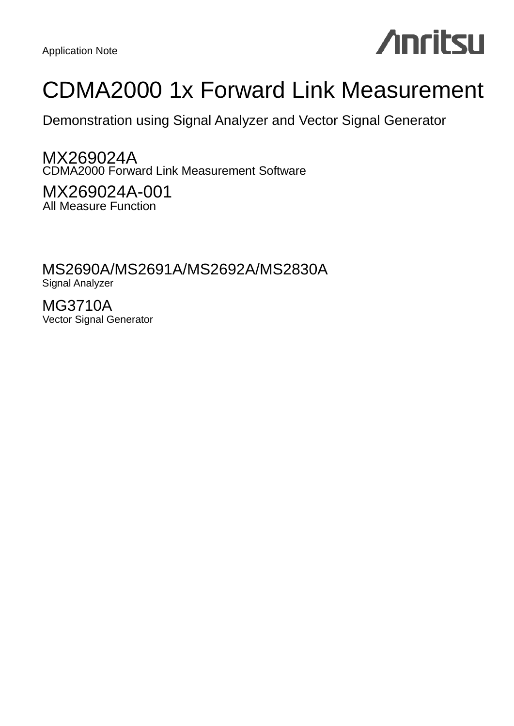# **Anritsu**

## CDMA2000 1x Forward Link Measurement

Demonstration using Signal Analyzer and Vector Signal Generator

MX269024A CDMA2000 Forward Link Measurement Software

MX269024A-001 All Measure Function

MS2690A/MS2691A/MS2692A/MS2830A Signal Analyzer

MG3710A Vector Signal Generator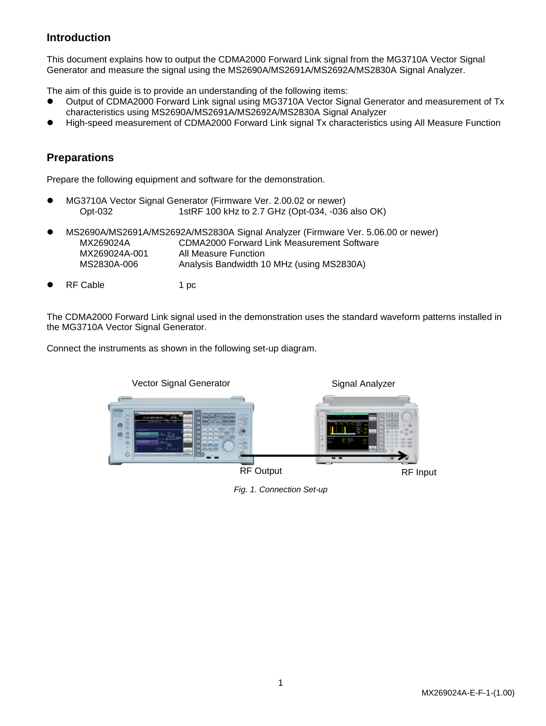## **Introduction**

This document explains how to output the CDMA2000 Forward Link signal from the MG3710A Vector Signal Generator and measure the signal using the MS2690A/MS2691A/MS2692A/MS2830A Signal Analyzer.

The aim of this guide is to provide an understanding of the following items:

- Output of CDMA2000 Forward Link signal using MG3710A Vector Signal Generator and measurement of Tx characteristics using MS2690A/MS2691A/MS2692A/MS2830A Signal Analyzer
- High-speed measurement of CDMA2000 Forward Link signal Tx characteristics using All Measure Function

## **Preparations**

Prepare the following equipment and software for the demonstration.

- MG3710A Vector Signal Generator (Firmware Ver. 2.00.02 or newer) Opt-032 1stRF 100 kHz to 2.7 GHz (Opt-034, -036 also OK)
- MS2690A/MS2691A/MS2692A/MS2830A Signal Analyzer (Firmware Ver. 5.06.00 or newer) MX269024A CDMA2000 Forward Link Measurement Software MX269024A-001 All Measure Function MS2830A-006 Analysis Bandwidth 10 MHz (using MS2830A)
- RF Cable 1 pc

The CDMA2000 Forward Link signal used in the demonstration uses the standard waveform patterns installed in the MG3710A Vector Signal Generator.

Connect the instruments as shown in the following set-up diagram.



*Fig. 1. Connection Set-up*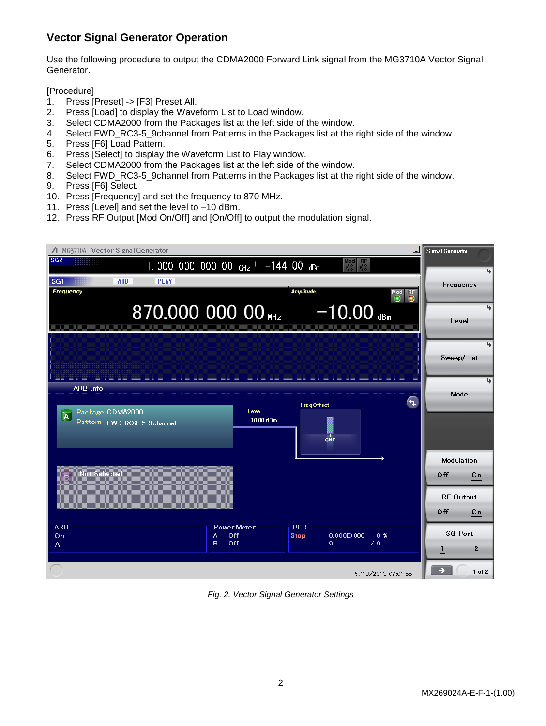## **Vector Signal Generator Operation**

Use the following procedure to output the CDMA2000 Forward Link signal from the MG3710A Vector Signal Generator.

[Procedure]

- 1. Press [Preset] -> [F3] Preset All.
- 2. Press [Load] to display the Waveform List to Load window.
- 3. Select CDMA2000 from the Packages list at the left side of the window.
- 4. Select FWD\_RC3-5\_9channel from Patterns in the Packages list at the right side of the window.
- 5. Press [F6] Load Pattern.
- 6. Press [Select] to display the Waveform List to Play window.
- 7. Select CDMA2000 from the Packages list at the left side of the window.
- 8. Select FWD\_RC3-5\_9channel from Patterns in the Packages list at the right side of the window.
- 9. Press [F6] Select.
- 10. Press [Frequency] and set the frequency to 870 MHz.
- 11. Press [Level] and set the level to –10 dBm.
- 12. Press RF Output [Mod On/Off] and [On/Off] to output the modulation signal.



*Fig. 2. Vector Signal Generator Settings*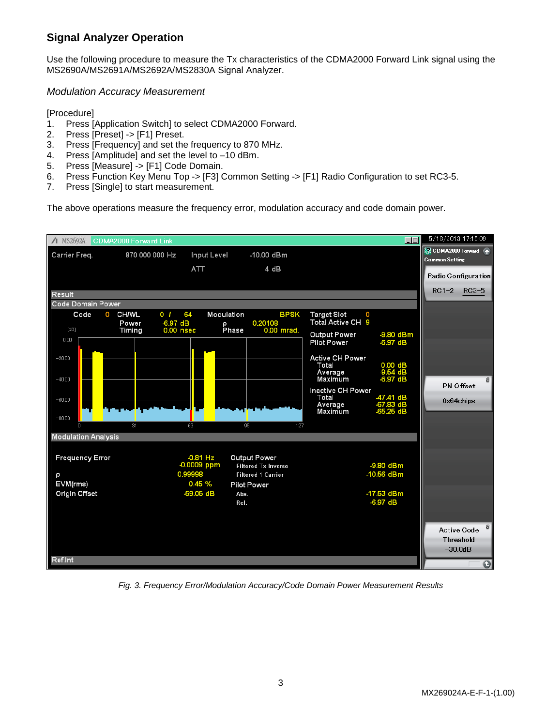## **Signal Analyzer Operation**

Use the following procedure to measure the Tx characteristics of the CDMA2000 Forward Link signal using the MS2690A/MS2691A/MS2692A/MS2830A Signal Analyzer.

*Modulation Accuracy Measurement*

[Procedure]

- 1. Press [Application Switch] to select CDMA2000 Forward.
- 2. Press [Preset] -> [F1] Preset.
- 3. Press [Frequency] and set the frequency to 870 MHz.
- 4. Press [Amplitude] and set the level to –10 dBm.
- 5. Press [Measure] -> [F1] Code Domain.
- 6. Press Function Key Menu Top -> [F3] Common Setting -> [F1] Radio Configuration to set RC3-5.
- 7. Press [Single] to start measurement.

The above operations measure the frequency error, modulation accuracy and code domain power.



*Fig. 3. Frequency Error/Modulation Accuracy/Code Domain Power Measurement Results*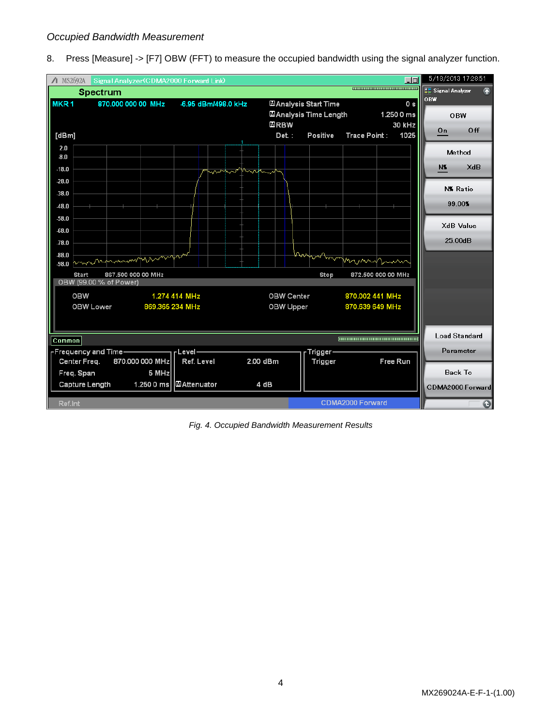### *Occupied Bandwidth Measurement*

8. Press [Measure] -> [F7] OBW (FFT) to measure the occupied bandwidth using the signal analyzer function.



*Fig. 4. Occupied Bandwidth Measurement Results*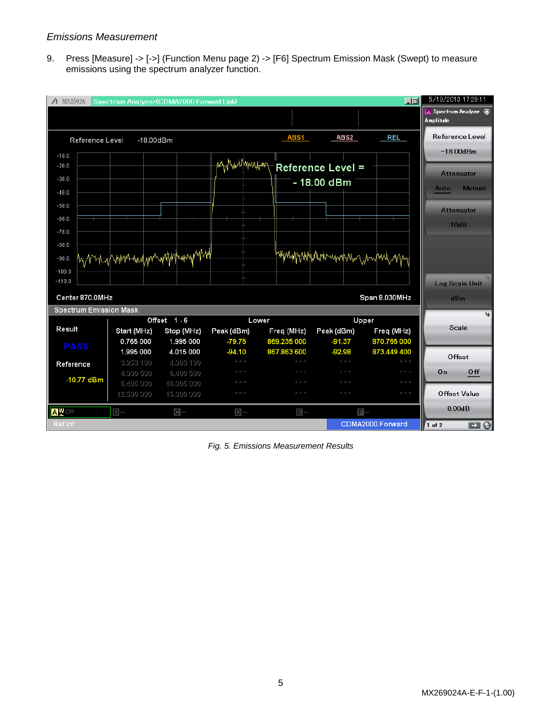### *Emissions Measurement*

9. Press [Measure] -> [->] (Function Menu page 2) -> [F6] Spectrum Emission Mask (Swept) to measure emissions using the spectrum analyzer function.



*Fig. 5. Emissions Measurement Results*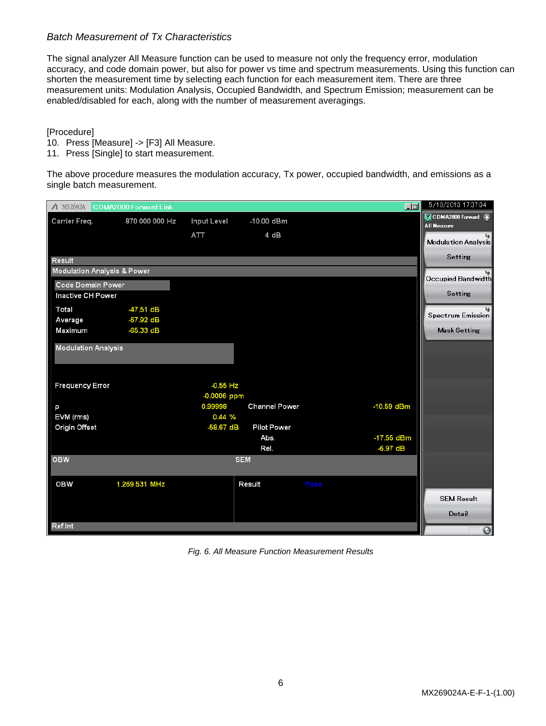## *Batch Measurement of Tx Characteristics*

The signal analyzer All Measure function can be used to measure not only the frequency error, modulation accuracy, and code domain power, but also for power vs time and spectrum measurements. Using this function can shorten the measurement time by selecting each function for each measurement item. There are three measurement units: Modulation Analysis, Occupied Bandwidth, and Spectrum Emission; measurement can be enabled/disabled for each, along with the number of measurement averagings.

[Procedure]

- 10. Press [Measure] -> [F3] All Measure.
- 11. Press [Single] to start measurement.

The above procedure measures the modulation accuracy, Tx power, occupied bandwidth, and emissions as a single batch measurement.

| $\Lambda$ MS2692A                      | CDMA2000 Forward Link |                             |                            | $\Box$     | 5/18/2013 17:37:34                                              |
|----------------------------------------|-----------------------|-----------------------------|----------------------------|------------|-----------------------------------------------------------------|
| Carrier Freq.                          | 870 000 000 Hz        | Input Level<br>ATT          | -10.00 dBm<br>4 dB         |            | CDMA2000 Forward 不<br><b>All Measure</b><br>Modulation Analysis |
| Result                                 |                       |                             |                            |            | Setting                                                         |
| <b>Modulation Analysis &amp; Power</b> |                       |                             |                            |            |                                                                 |
| <b>Code Domain Power</b>               |                       |                             |                            |            | Occupied Bandwidth                                              |
| Inactive CH Power                      |                       |                             |                            |            | Setting                                                         |
| Total                                  | $-47.51$ dB           |                             |                            |            |                                                                 |
| Average                                | -67.92 dB             |                             |                            |            | Spectrum Emission                                               |
| Maximum                                | $-65.33 dB$           |                             |                            |            | <b>Mask Setting</b>                                             |
| <b>Modulation Analysis</b>             |                       |                             |                            |            |                                                                 |
| <b>Frequency Error</b>                 |                       | $-0.55$ Hz<br>$-0.0006$ ppm |                            |            |                                                                 |
| p                                      |                       | 0.99998                     | <b>Channel Power</b>       | -10.59 dBm |                                                                 |
| EVM (rms)                              |                       | 0.44%                       |                            |            |                                                                 |
| Origin Offset                          |                       | $-58.67$ dB                 | <b>Pilot Power</b><br>Abs. | -17.55 dBm |                                                                 |
|                                        |                       |                             | Rel.                       | -6.97 dB   |                                                                 |
| <b>OBW</b>                             |                       | <b>SEM</b>                  |                            |            |                                                                 |
| <b>OBW</b>                             | 1.269 531 MHz         |                             | Result                     | Pass       |                                                                 |
|                                        |                       |                             |                            |            | <b>SEM Result</b>                                               |
|                                        |                       |                             |                            |            | Detail                                                          |
| Ref.Int                                | $\bullet$             |                             |                            |            |                                                                 |

*Fig. 6. All Measure Function Measurement Results*